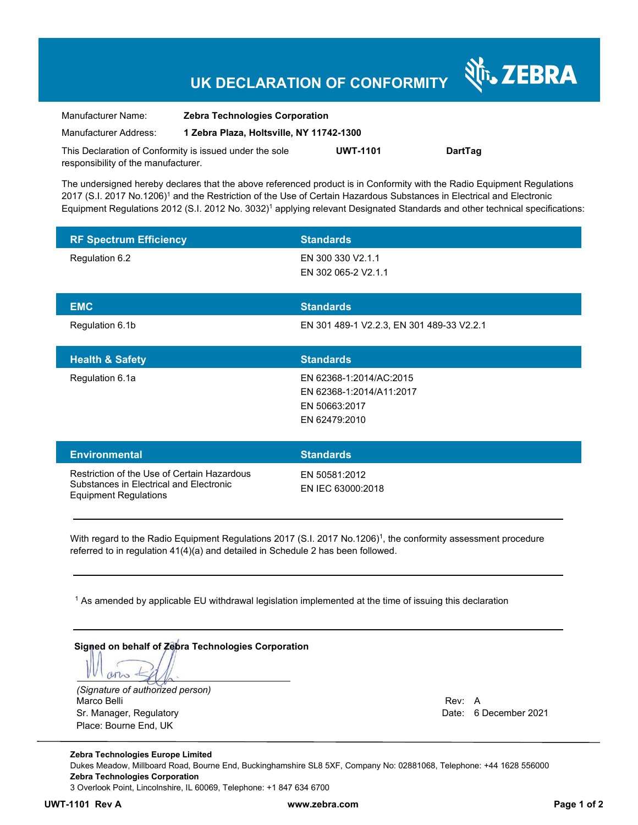# **UK DECLARATION OF CONFORMITY**

र्शे<sub>ं</sub> ZEBRA

| Manufacturer Name:                                      | <b>Zebra Technologies Corporation</b>    |                 |                |
|---------------------------------------------------------|------------------------------------------|-----------------|----------------|
| Manufacturer Address:                                   | 1 Zebra Plaza, Holtsville, NY 11742-1300 |                 |                |
| This Declaration of Conformity is issued under the sole |                                          | <b>UWT-1101</b> | <b>DartTag</b> |
| responsibility of the manufacturer.                     |                                          |                 |                |

The undersigned hereby declares that the above referenced product is in Conformity with the Radio Equipment Regulations 2017 (S.I. 2017 No.1206)<sup>1</sup> and the Restriction of the Use of Certain Hazardous Substances in Electrical and Electronic Equipment Regulations 2012 (S.I. 2012 No. 3032)<sup>1</sup> applying relevant Designated Standards and other technical specifications:

| <b>RF Spectrum Efficiency</b>                                                                                          | <b>Standards</b>                                                                      |
|------------------------------------------------------------------------------------------------------------------------|---------------------------------------------------------------------------------------|
| Regulation 6.2                                                                                                         | EN 300 330 V2.1.1<br>EN 302 065-2 V2.1.1                                              |
| <b>EMC</b>                                                                                                             | <b>Standards</b>                                                                      |
| Regulation 6.1b                                                                                                        | EN 301 489-1 V2.2.3, EN 301 489-33 V2.2.1                                             |
| <b>Health &amp; Safety</b>                                                                                             | <b>Standards</b>                                                                      |
| Regulation 6.1a                                                                                                        | EN 62368-1:2014/AC:2015<br>EN 62368-1:2014/A11:2017<br>EN 50663:2017<br>EN 62479:2010 |
| <b>Environmental</b>                                                                                                   | <b>Standards</b>                                                                      |
| Restriction of the Use of Certain Hazardous<br>Substances in Electrical and Electronic<br><b>Equipment Regulations</b> | EN 50581:2012<br>EN IEC 63000:2018                                                    |

With regard to the Radio Equipment Regulations 2017 (S.I. 2017 No.1206)<sup>1</sup>, the conformity assessment procedure referred to in regulation 41(4)(a) and detailed in Schedule 2 has been followed.

1 As amended by applicable EU withdrawal legislation implemented at the time of issuing this declaration

| Signed on behalf of Zebra Technologies Corporation |        |                       |  |
|----------------------------------------------------|--------|-----------------------|--|
| (Signature of authorized person)                   |        |                       |  |
| Marco Belli                                        | Rev: A |                       |  |
| Sr. Manager, Regulatory                            |        | Date: 6 December 2021 |  |
| Place: Bourne End, UK                              |        |                       |  |

**Zebra Technologies Europe Limited**  Dukes Meadow, Millboard Road, Bourne End, Buckinghamshire SL8 5XF, Company No: 02881068, Telephone: +44 1628 556000 **Zebra Technologies Corporation**  3 Overlook Point, Lincolnshire, IL 60069, Telephone: +1 847 634 6700